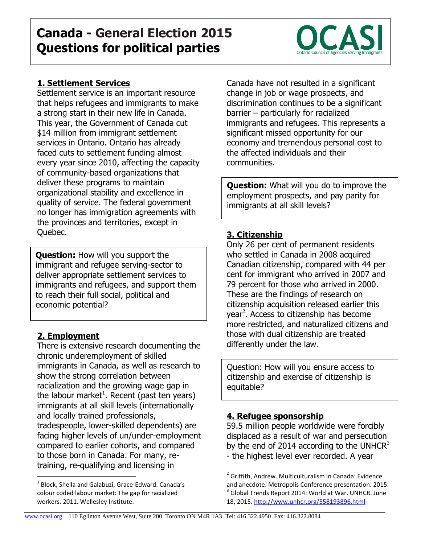## Settlement service is an important resource that helps refugees and immigrants to make

a strong start in their new life in Canada. This year, the Government of Canada cut \$14 million from immigrant settlement services in Ontario. Ontario has already faced cuts to settlement funding almost every year since 2010, affecting the capacity of community-based organizations that deliver these programs to maintain organizational stability and excellence in quality of service. The federal government no longer has immigration agreements with the provinces and territories, except in Quebec.

**1. Settlement Services**

**Question:** How will you support the immigrant and refugee serving-sector to deliver appropriate settlement services to immigrants and refugees, and support them to reach their full social, political and economic potential?

## **2. Employment**

 $\overline{a}$ 

There is extensive research documenting the chronic underemployment of skilled immigrants in Canada, as well as research to show the strong correlation between racialization and the growing wage gap in the labour market<sup>1</sup>. Recent (past ten years) immigrants at all skill levels (internationally and locally trained professionals, tradespeople, lower-skilled dependents) are facing higher levels of un/under-employment compared to earlier cohorts, and compared to those born in Canada. For many, retraining, re-qualifying and licensing in

 $<sup>1</sup>$  Block, Sheila and Galabuzi, Grace-Edward. Canada's</sup> colour coded labour market: The gap for racialized workers. 2011. Wellesley Institute.

Canada have not resulted in a significant change in job or wage prospects, and discrimination continues to be a significant barrier – particularly for racialized immigrants and refugees. This represents a significant missed opportunity for our economy and tremendous personal cost to the affected individuals and their communities.

**Question:** What will you do to improve the employment prospects, and pay parity for immigrants at all skill levels?

## **3. Citizenship**

Only 26 per cent of permanent residents who settled in Canada in 2008 acquired Canadian citizenship, compared with 44 per cent for immigrant who arrived in 2007 and 79 percent for those who arrived in 2000. These are the findings of research on citizenship acquisition released earlier this year<sup>2</sup>. Access to citizenship has become more restricted, and naturalized citizens and those with dual citizenship are treated differently under the law.

Question: How will you ensure access to citizenship and exercise of citizenship is equitable?

## **4. Refugee sponsorship**

 $\overline{a}$ 

59.5 million people worldwide were forcibly displaced as a result of war and persecution by the end of 2014 according to the UNHCR $3$ - the highest level ever recorded. A year

# **Canada - General Election 2015 Questions for political parties**



<sup>&</sup>lt;sup>2</sup> Griffith, Andrew. Multiculturalism in Canada: Evidence and anecdote. Metropolis Conference presentation. 2015.  $3$  Global Trends Report 2014: World at War. UNHCR. June 18, 2015.<http://www.unhcr.org/558193896.html>